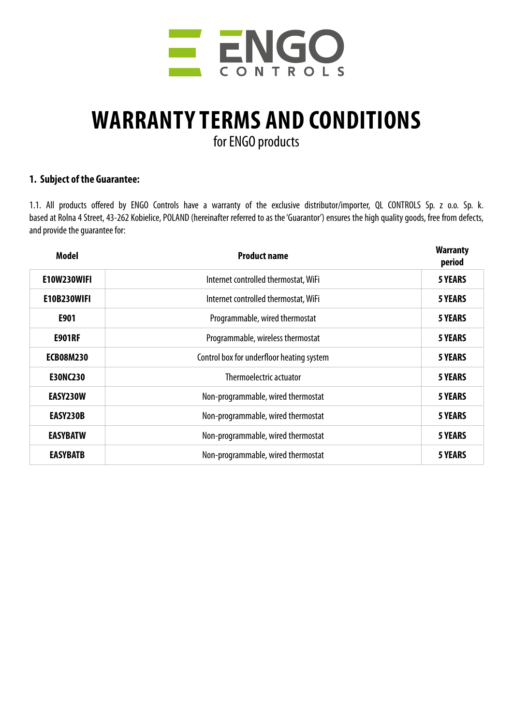

# **WARRANTY TERMS AND CONDITIONS**

for ENGO products

#### **1. Subject of the Guarantee:**

1.1. All products offered by ENGO Controls have a warranty of the exclusive distributor/importer, QL CONTROLS Sp. z o.o. Sp. k. based at Rolna 4 Street, 43-262 Kobielice, POLAND (hereinafter referred to as the 'Guarantor') ensures the high quality goods, free from defects, and provide the guarantee for:

| <b>Model</b>       | <b>Product name</b>                       | <b>Warranty</b><br>period |
|--------------------|-------------------------------------------|---------------------------|
| E10W230WIFI        | Internet controlled thermostat, WiFi      | <b>5 YEARS</b>            |
| <b>E10B230WIFI</b> | Internet controlled thermostat, WiFi      | <b>5 YEARS</b>            |
| E901               | Programmable, wired thermostat            | <b>5 YEARS</b>            |
| <b>E901RF</b>      | Programmable, wireless thermostat         | <b>5 YEARS</b>            |
| <b>ECB08M230</b>   | Control box for underfloor heating system | <b>5 YEARS</b>            |
| <b>E30NC230</b>    | Thermoelectric actuator                   | <b>5 YEARS</b>            |
| EASY230W           | Non-programmable, wired thermostat        | <b>5 YEARS</b>            |
| EASY230B           | Non-programmable, wired thermostat        | <b>5 YEARS</b>            |
| <b>EASYBATW</b>    | Non-programmable, wired thermostat        | <b>5 YEARS</b>            |
| <b>EASYBATB</b>    | Non-programmable, wired thermostat        | <b>5 YEARS</b>            |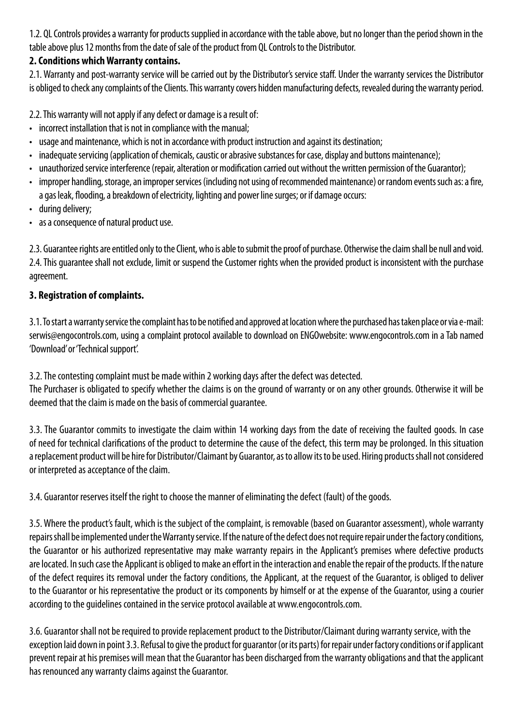1.2. QL Controls provides a warranty for products supplied in accordance with the table above, but no longer than the period shown in the table above plus 12 months from the date of sale of the product from QL Controls to the Distributor.

# **2. Conditions which Warranty contains.**

2.1. Warranty and post-warranty service will be carried out by the Distributor's service staff. Under the warranty services the Distributor is obliged to check any complaints of the Clients. This warranty covers hidden manufacturing defects, revealed during the warranty period.

2.2. This warranty will not apply if any defect or damage is a result of:

- incorrect installation that is not in compliance with the manual;
- usage and maintenance, which is not in accordance with product instruction and against its destination;
- inadequate servicing (application of chemicals, caustic or abrasive substances for case, display and buttons maintenance);
- unauthorized service interference (repair, alteration or modification carried out without the written permission of the Guarantor);
- improper handling, storage, an improper services (including not using of recommended maintenance) or random events such as: a fire, a gas leak, flooding, a breakdown of electricity, lighting and power line surges; or if damage occurs:
- during delivery;
- as a consequence of natural product use.

2.3. Guarantee rights are entitled only to the Client, who is able to submit the proof of purchase. Otherwise the claim shall be null and void. 2.4. This guarantee shall not exclude, limit or suspend the Customer rights when the provided product is inconsistent with the purchase agreement.

# **3. Registration of complaints.**

3.1. To start a warranty service the complaint has to be notified and approved at location where the purchased has taken place or via e-mail: serwis@engocontrols.com, using a complaint protocol available to download on ENGOwebsite: www.engocontrols.com in a Tab named 'Download' or 'Technical support'.

3.2. The contesting complaint must be made within 2 working days after the defect was detected.

The Purchaser is obligated to specify whether the claims is on the ground of warranty or on any other grounds. Otherwise it will be deemed that the claim is made on the basis of commercial guarantee.

3.3. The Guarantor commits to investigate the claim within 14 working days from the date of receiving the faulted goods. In case of need for technical clarifications of the product to determine the cause of the defect, this term may be prolonged. In this situation a replacement product will be hire for Distributor/Claimant by Guarantor, as to allow its to be used. Hiring products shall not considered or interpreted as acceptance of the claim.

3.4. Guarantor reserves itself the right to choose the manner of eliminating the defect (fault) of the goods.

3.5. Where the product's fault, which is the subject of the complaint, is removable (based on Guarantor assessment), whole warranty repairs shall be implemented under the Warranty service. If the nature of the defect does not require repair under the factory conditions, the Guarantor or his authorized representative may make warranty repairs in the Applicant's premises where defective products are located. In such case the Applicant is obliged to make an effort in the interaction and enable the repair of the products. If the nature of the defect requires its removal under the factory conditions, the Applicant, at the request of the Guarantor, is obliged to deliver to the Guarantor or his representative the product or its components by himself or at the expense of the Guarantor, using a courier according to the guidelines contained in the service protocol available at www.engocontrols.com.

3.6. Guarantor shall not be required to provide replacement product to the Distributor/Claimant during warranty service, with the exception laid down in point 3.3. Refusal to give the product for guarantor (or its parts) for repair under factory conditions or if applicant prevent repair at his premises will mean that the Guarantor has been discharged from the warranty obligations and that the applicant has renounced any warranty claims against the Guarantor.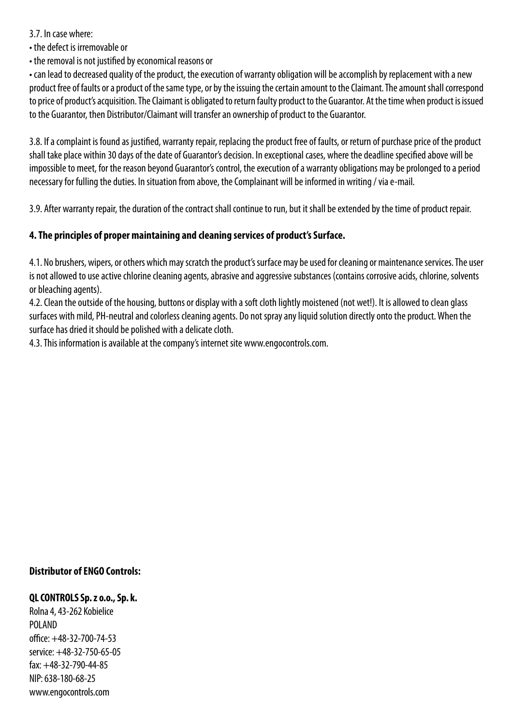#### 3.7. In case where:

• the defect is irremovable or

• the removal is not justified by economical reasons or

• can lead to decreased quality of the product, the execution of warranty obligation will be accomplish by replacement with a new product free of faults or a product of the same type, or by the issuing the certain amount to the Claimant. The amount shall correspond to price of product's acquisition. The Claimant is obligated to return faulty product to the Guarantor. At the time when product is issued to the Guarantor, then Distributor/Claimant will transfer an ownership of product to the Guarantor.

3.8. If a complaint is found as justified, warranty repair, replacing the product free of faults, or return of purchase price of the product shall take place within 30 days of the date of Guarantor's decision. In exceptional cases, where the deadline specified above will be impossible to meet, for the reason beyond Guarantor's control, the execution of a warranty obligations may be prolonged to a period necessary for fulling the duties. In situation from above, the Complainant will be informed in writing / via e-mail.

3.9. After warranty repair, the duration of the contract shall continue to run, but it shall be extended by the time of product repair.

# **4. The principles of proper maintaining and cleaning services of product's Surface.**

4.1. No brushers, wipers, or others which may scratch the product's surface may be used for cleaning or maintenance services. The user is not allowed to use active chlorine cleaning agents, abrasive and aggressive substances (contains corrosive acids, chlorine, solvents or bleaching agents).

4.2. Clean the outside of the housing, buttons or display with a soft cloth lightly moistened (not wet!). It is allowed to clean glass surfaces with mild, PH-neutral and colorless cleaning agents. Do not spray any liquid solution directly onto the product. When the surface has dried it should be polished with a delicate cloth.

4.3. This information is available at the company's internet site www.engocontrols.com.

### **Distributor of ENGO Controls:**

#### **QL CONTROLS Sp. z o.o., Sp. k.**

Rolna 4, 43-262 Kobielice POLAND office: +48-32-700-74-53 service: +48-32-750-65-05 fax: +48-32-790-44-85 NIP: 638-180-68-25 www.engocontrols.com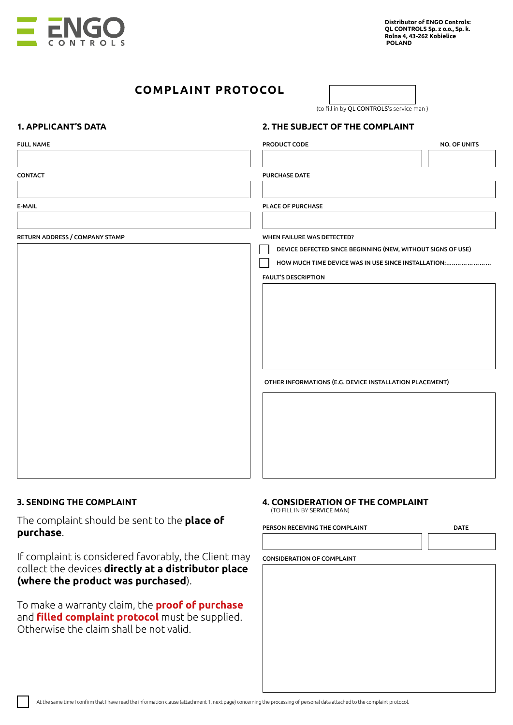

# **COMPLAINT PROTOCOL**

(to fill in by QL CONTROLS's service man )

#### **1. APPLICANT'S DATA 2. THE SUBJECT OF THE COMPLAINT**

| <b>FULL NAME</b>                                             | PRODUCT CODE                                                | <b>NO. OF UNITS</b> |
|--------------------------------------------------------------|-------------------------------------------------------------|---------------------|
|                                                              |                                                             |                     |
| CONTACT                                                      | <b>PURCHASE DATE</b>                                        |                     |
|                                                              |                                                             |                     |
| E-MAIL                                                       | PLACE OF PURCHASE                                           |                     |
|                                                              |                                                             |                     |
| RETURN ADDRESS / COMPANY STAMP<br>WHEN FAILURE WAS DETECTED? |                                                             |                     |
|                                                              | DEVICE DEFECTED SINCE BEGINNING (NEW, WITHOUT SIGNS OF USE) |                     |
|                                                              | HOW MUCH TIME DEVICE WAS IN USE SINCE INSTALLATION:         |                     |
|                                                              | <b>FAULT'S DESCRIPTION</b>                                  |                     |
|                                                              |                                                             |                     |
|                                                              |                                                             |                     |
|                                                              |                                                             |                     |
|                                                              |                                                             |                     |
|                                                              |                                                             |                     |
|                                                              | OTHER INFORMATIONS (E.G. DEVICE INSTALLATION PLACEMENT)     |                     |
|                                                              |                                                             |                     |
|                                                              |                                                             |                     |
|                                                              |                                                             |                     |
|                                                              |                                                             |                     |
|                                                              |                                                             |                     |
|                                                              |                                                             |                     |

The complaint should be sent to the **place of purchase**.

If complaint is considered favorably, the Client may collect the devices **directly at a distributor place (where the product was purchased**).

To make a warranty claim, the **proof of purchase** and **filled complaint protocol** must be supplied. Otherwise the claim shall be not valid.

### **3. SENDING THE COMPLAINT 4. CONSIDERATION OF THE COMPLAINT**

(TO FILL IN BY SERVICE MAN)

#### PERSON RECEIVING THE COMPLAINT

DATE

#### CONSIDERATION OF COMPLAINT